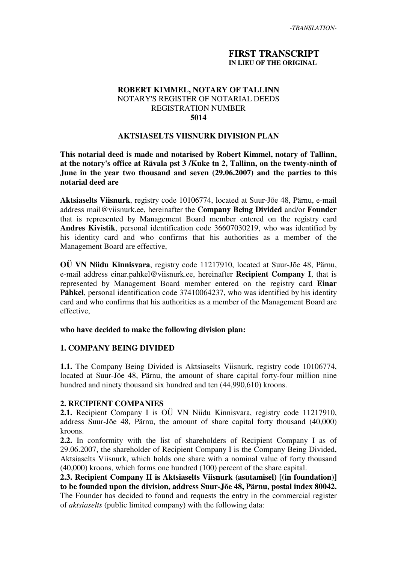### **FIRST TRANSCRIPT IN LIEU OF THE ORIGINAL**

### **ROBERT KIMMEL, NOTARY OF TALLINN** NOTARY'S REGISTER OF NOTARIAL DEEDS REGISTRATION NUMBER **5014**

#### **AKTSIASELTS VIISNURK DIVISION PLAN**

**This notarial deed is made and notarised by Robert Kimmel, notary of Tallinn, at the notary's office at Rävala pst 3 /Kuke tn 2, Tallinn, on the twenty-ninth of June in the year two thousand and seven (29.06.2007) and the parties to this notarial deed are**

**Aktsiaselts Viisnurk**, registry code 10106774, located at Suur-Jõe 48, Pärnu, e-mail address mail@viisnurk.ee, hereinafter the **Company Being Divided** and/or **Founder** that is represented by Management Board member entered on the registry card **Andres Kivistik**, personal identification code 36607030219, who was identified by his identity card and who confirms that his authorities as a member of the Management Board are effective,

**OÜ VN Niidu Kinnisvara**, registry code 11217910, located at Suur-Jõe 48, Pärnu, e-mail address einar.pahkel@viisnurk.ee, hereinafter **Recipient Company I**, that is represented by Management Board member entered on the registry card **Einar Pähkel**, personal identification code 37410064237, who was identified by his identity card and who confirms that his authorities as a member of the Management Board are effective,

#### **who have decided to make the following division plan:**

### **1. COMPANY BEING DIVIDED**

**1.1.** The Company Being Divided is Aktsiaselts Viisnurk, registry code 10106774, located at Suur-Jõe 48, Pärnu, the amount of share capital forty-four million nine hundred and ninety thousand six hundred and ten (44,990,610) kroons.

### **2. RECIPIENT COMPANIES**

**2.1.** Recipient Company I is OÜ VN Niidu Kinnisvara, registry code 11217910, address Suur-Jõe 48, Pärnu, the amount of share capital forty thousand (40,000) kroons.

**2.2.** In conformity with the list of shareholders of Recipient Company I as of 29.06.2007, the shareholder of Recipient Company I is the Company Being Divided, Aktsiaselts Viisnurk, which holds one share with a nominal value of forty thousand (40,000) kroons, which forms one hundred (100) percent of the share capital.

**2.3. Recipient Company II is Aktsiaselts Viisnurk (asutamisel) [(in foundation)] to be founded upon the division, address Suur-Jõe 48, Pärnu, postal index 80042.** The Founder has decided to found and requests the entry in the commercial register of *aktsiaselts* (public limited company) with the following data: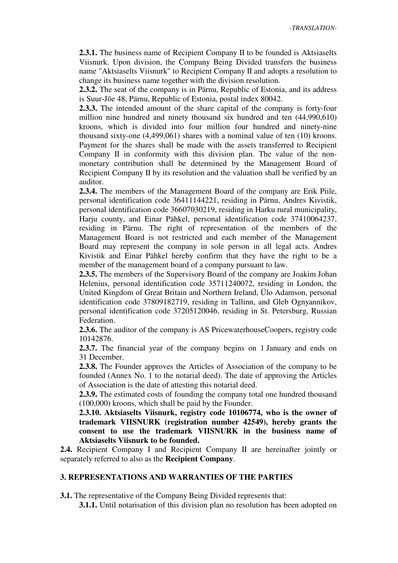**2.3.1.** The business name of Recipient Company II to be founded is Aktsiaselts Viisnurk. Upon division, the Company Being Divided transfers the business name "Aktsiaselts Viisnurk" to Recipient Company II and adopts a resolution to change its business name together with the division resolution.

**2.3.2.** The seat of the company is in Pärnu, Republic of Estonia, and its address is Suur-Jõe 48, Pärnu, Republic of Estonia, postal index 80042.

**2.3.3.** The intended amount of the share capital of the company is forty-four million nine hundred and ninety thousand six hundred and ten (44,990,610) kroons, which is divided into four million four hundred and ninety-nine thousand sixty-one (4,499,061) shares with a nominal value of ten (10) kroons. Payment for the shares shall be made with the assets transferred to Recipient Company II in conformity with this division plan. The value of the nonmonetary contribution shall be determined by the Management Board of Recipient Company II by its resolution and the valuation shall be verified by an auditor.

**2.3.4.** The members of the Management Board of the company are Erik Piile, personal identification code 36411144221, residing in Pärnu, Andres Kivistik, personal identification code 36607030219, residing in Harku rural municipality, Harju county, and Einar Pähkel, personal identification code 37410064237, residing in Pärnu. The right of representation of the members of the Management Board is not restricted and each member of the Management Board may represent the company in sole person in all legal acts. Andres Kivistik and Einar Pähkel hereby confirm that they have the right to be a member of the management board of a company pursuant to law.

**2.3.5.** The members of the Supervisory Board of the company are Joakim Johan Helenius, personal identification code 35711240072, residing in London, the United Kingdom of Great Britain and Northern Ireland, Ülo Adamson, personal identification code 37809182719, residing in Tallinn, and Gleb Ognyannikov, personal identification code 37205120046, residing in St. Petersburg, Russian Federation.

**2.3.6.** The auditor of the company is AS PricewaterhouseCoopers, registry code 10142876.

**2.3.7.** The financial year of the company begins on 1 January and ends on 31 December.

**2.3.8.** The Founder approves the Articles of Association of the company to be founded (Annex No. 1 to the notarial deed). The date of approving the Articles of Association is the date of attesting this notarial deed.

**2.3.9.** The estimated costs of founding the company total one hundred thousand (100,000) kroons, which shall be paid by the Founder.

**2.3.10. Aktsiaselts Viisnurk, registry code 10106774, who is the owner of trademark VIISNURK (registration number 42549), hereby grants the consent to use the trademark VIISNURK in the business name of Aktsiaselts Viisnurk to be founded.**

**2.4.** Recipient Company I and Recipient Company II are hereinafter jointly or separately referred to also as the **Recipient Company**.

### **3. REPRESENTATIONS AND WARRANTIES OF THE PARTIES**

**3.1.** The representative of the Company Being Divided represents that:

**3.1.1.** Until notarisation of this division plan no resolution has been adopted on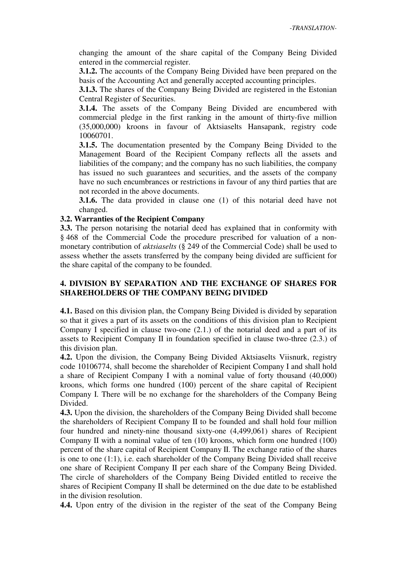changing the amount of the share capital of the Company Being Divided entered in the commercial register.

**3.1.2.** The accounts of the Company Being Divided have been prepared on the basis of the Accounting Act and generally accepted accounting principles.

**3.1.3.** The shares of the Company Being Divided are registered in the Estonian Central Register of Securities.

**3.1.4.** The assets of the Company Being Divided are encumbered with commercial pledge in the first ranking in the amount of thirty-five million (35,000,000) kroons in favour of Aktsiaselts Hansapank, registry code 10060701.

**3.1.5.** The documentation presented by the Company Being Divided to the Management Board of the Recipient Company reflects all the assets and liabilities of the company; and the company has no such liabilities, the company has issued no such guarantees and securities, and the assets of the company have no such encumbrances or restrictions in favour of any third parties that are not recorded in the above documents.

**3.1.6.** The data provided in clause one (1) of this notarial deed have not changed.

### **3.2. Warranties of the Recipient Company**

**3.3.** The person notarising the notarial deed has explained that in conformity with § 468 of the Commercial Code the procedure prescribed for valuation of a nonmonetary contribution of *aktsiaselts* (§ 249 of the Commercial Code) shall be used to assess whether the assets transferred by the company being divided are sufficient for the share capital of the company to be founded.

## **4. DIVISION BY SEPARATION AND THE EXCHANGE OF SHARES FOR SHAREHOLDERS OF THE COMPANY BEING DIVIDED**

**4.1.** Based on this division plan, the Company Being Divided is divided by separation so that it gives a part of its assets on the conditions of this division plan to Recipient Company I specified in clause two-one (2.1.) of the notarial deed and a part of its assets to Recipient Company II in foundation specified in clause two-three (2.3.) of this division plan.

**4.2.** Upon the division, the Company Being Divided Aktsiaselts Viisnurk, registry code 10106774, shall become the shareholder of Recipient Company I and shall hold a share of Recipient Company I with a nominal value of forty thousand (40,000) kroons, which forms one hundred (100) percent of the share capital of Recipient Company I. There will be no exchange for the shareholders of the Company Being Divided.

**4.3.** Upon the division, the shareholders of the Company Being Divided shall become the shareholders of Recipient Company II to be founded and shall hold four million four hundred and ninety-nine thousand sixty-one (4,499,061) shares of Recipient Company II with a nominal value of ten (10) kroons, which form one hundred (100) percent of the share capital of Recipient Company II. The exchange ratio of the shares is one to one (1:1), i.e. each shareholder of the Company Being Divided shall receive one share of Recipient Company II per each share of the Company Being Divided. The circle of shareholders of the Company Being Divided entitled to receive the shares of Recipient Company II shall be determined on the due date to be established in the division resolution.

**4.4.** Upon entry of the division in the register of the seat of the Company Being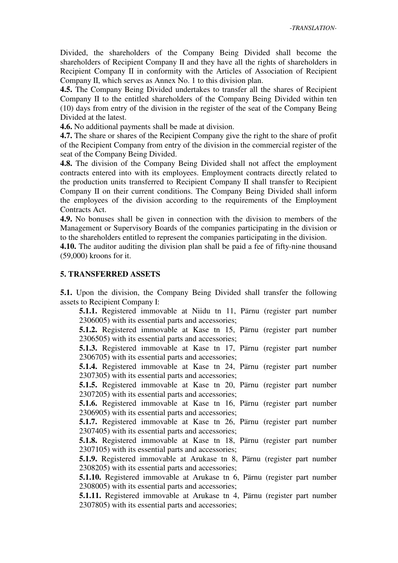-*TRANSLATION-*

Divided, the shareholders of the Company Being Divided shall become the shareholders of Recipient Company II and they have all the rights of shareholders in Recipient Company II in conformity with the Articles of Association of Recipient Company II, which serves as Annex No. 1 to this division plan.

**4.5.** The Company Being Divided undertakes to transfer all the shares of Recipient Company II to the entitled shareholders of the Company Being Divided within ten (10) days from entry of the division in the register of the seat of the Company Being Divided at the latest.

**4.6.** No additional payments shall be made at division.

**4.7.** The share or shares of the Recipient Company give the right to the share of profit of the Recipient Company from entry of the division in the commercial register of the seat of the Company Being Divided.

**4.8.** The division of the Company Being Divided shall not affect the employment contracts entered into with its employees. Employment contracts directly related to the production units transferred to Recipient Company II shall transfer to Recipient Company II on their current conditions. The Company Being Divided shall inform the employees of the division according to the requirements of the Employment Contracts Act.

**4.9.** No bonuses shall be given in connection with the division to members of the Management or Supervisory Boards of the companies participating in the division or to the shareholders entitled to represent the companies participating in the division.

**4.10.** The auditor auditing the division plan shall be paid a fee of fifty-nine thousand (59,000) kroons for it.

#### **5. TRANSFERRED ASSETS**

**5.1.** Upon the division, the Company Being Divided shall transfer the following assets to Recipient Company I:

**5.1.1.** Registered immovable at Niidu tn 11, Pärnu (register part number 2306005) with its essential parts and accessories;

**5.1.2.** Registered immovable at Kase tn 15, Pärnu (register part number 2306505) with its essential parts and accessories;

**5.1.3.** Registered immovable at Kase tn 17, Pärnu (register part number 2306705) with its essential parts and accessories;

**5.1.4.** Registered immovable at Kase tn 24, Pärnu (register part number 2307305) with its essential parts and accessories;

**5.1.5.** Registered immovable at Kase tn 20, Pärnu (register part number 2307205) with its essential parts and accessories;

**5.1.6.** Registered immovable at Kase tn 16, Pärnu (register part number 2306905) with its essential parts and accessories;

**5.1.7.** Registered immovable at Kase tn 26, Pärnu (register part number 2307405) with its essential parts and accessories;

**5.1.8.** Registered immovable at Kase tn 18, Pärnu (register part number 2307105) with its essential parts and accessories;

**5.1.9.** Registered immovable at Arukase tn 8, Pärnu (register part number 2308205) with its essential parts and accessories;

**5.1.10.** Registered immovable at Arukase tn 6, Pärnu (register part number 2308005) with its essential parts and accessories;

**5.1.11.** Registered immovable at Arukase tn 4, Pärnu (register part number 2307805) with its essential parts and accessories;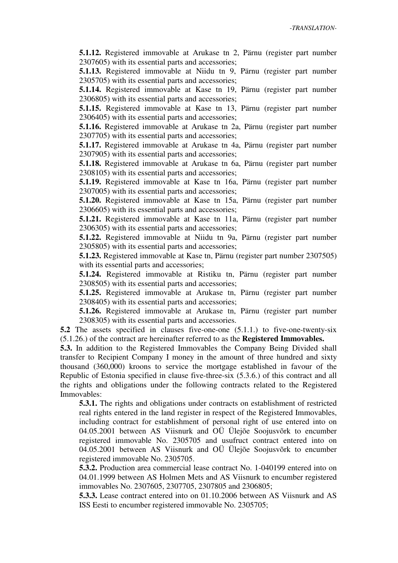**5.1.12.** Registered immovable at Arukase tn 2, Pärnu (register part number 2307605) with its essential parts and accessories;

**5.1.13.** Registered immovable at Niidu tn 9, Pärnu (register part number 2305705) with its essential parts and accessories;

**5.1.14.** Registered immovable at Kase tn 19, Pärnu (register part number 2306805) with its essential parts and accessories;

**5.1.15.** Registered immovable at Kase tn 13, Pärnu (register part number 2306405) with its essential parts and accessories;

**5.1.16.** Registered immovable at Arukase tn 2a, Pärnu (register part number 2307705) with its essential parts and accessories;

**5.1.17.** Registered immovable at Arukase tn 4a, Pärnu (register part number 2307905) with its essential parts and accessories;

**5.1.18.** Registered immovable at Arukase tn 6a, Pärnu (register part number 2308105) with its essential parts and accessories;

**5.1.19.** Registered immovable at Kase tn 16a, Pärnu (register part number 2307005) with its essential parts and accessories;

**5.1.20.** Registered immovable at Kase tn 15a, Pärnu (register part number 2306605) with its essential parts and accessories;

**5.1.21.** Registered immovable at Kase tn 11a, Pärnu (register part number 2306305) with its essential parts and accessories;

**5.1.22.** Registered immovable at Niidu tn 9a, Pärnu (register part number 2305805) with its essential parts and accessories;

**5.1.23.** Registered immovable at Kase tn, Pärnu (register part number 2307505) with its essential parts and accessories;

**5.1.24.** Registered immovable at Ristiku tn, Pärnu (register part number 2308505) with its essential parts and accessories;

**5.1.25.** Registered immovable at Arukase tn, Pärnu (register part number 2308405) with its essential parts and accessories;

**5.1.26.** Registered immovable at Arukase tn, Pärnu (register part number 2308305) with its essential parts and accessories.

**5.2** The assets specified in clauses five-one-one (5.1.1.) to five-one-twenty-six (5.1.26.) of the contract are hereinafter referred to as the **Registered Immovables.**

**5.3.** In addition to the Registered Immovables the Company Being Divided shall transfer to Recipient Company I money in the amount of three hundred and sixty thousand (360,000) kroons to service the mortgage established in favour of the Republic of Estonia specified in clause five-three-six (5.3.6.) of this contract and all the rights and obligations under the following contracts related to the Registered Immovables:

**5.3.1.** The rights and obligations under contracts on establishment of restricted real rights entered in the land register in respect of the Registered Immovables, including contract for establishment of personal right of use entered into on 04.05.2001 between AS Viisnurk and OÜ Ülejõe Soojusvõrk to encumber registered immovable No. 2305705 and usufruct contract entered into on 04.05.2001 between AS Viisnurk and OÜ Ülejõe Soojusvõrk to encumber registered immovable No. 2305705.

**5.3.2.** Production area commercial lease contract No. 1-040199 entered into on 04.01.1999 between AS Holmen Mets and AS Viisnurk to encumber registered immovables No. 2307605, 2307705, 2307805 and 2306805;

**5.3.3.** Lease contract entered into on 01.10.2006 between AS Viisnurk and AS ISS Eesti to encumber registered immovable No. 2305705;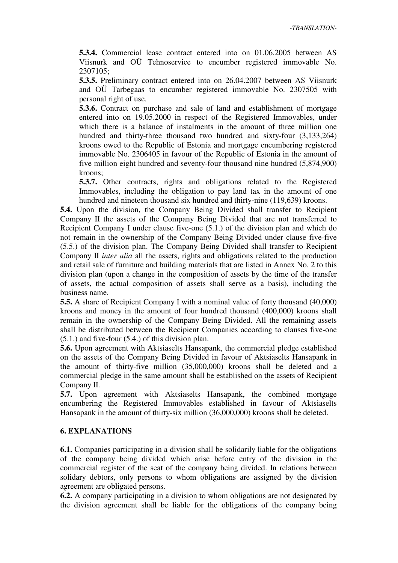**5.3.4.** Commercial lease contract entered into on 01.06.2005 between AS Viisnurk and OÜ Tehnoservice to encumber registered immovable No. 2307105;

**5.3.5.** Preliminary contract entered into on 26.04.2007 between AS Viisnurk and OÜ Tarbegaas to encumber registered immovable No. 2307505 with personal right of use.

**5.3.6.** Contract on purchase and sale of land and establishment of mortgage entered into on 19.05.2000 in respect of the Registered Immovables, under which there is a balance of instalments in the amount of three million one hundred and thirty-three thousand two hundred and sixty-four (3,133,264) kroons owed to the Republic of Estonia and mortgage encumbering registered immovable No. 2306405 in favour of the Republic of Estonia in the amount of five million eight hundred and seventy-four thousand nine hundred (5,874,900) kroons;

**5.3.7.** Other contracts, rights and obligations related to the Registered Immovables, including the obligation to pay land tax in the amount of one hundred and nineteen thousand six hundred and thirty-nine (119,639) kroons.

**5.4.** Upon the division, the Company Being Divided shall transfer to Recipient Company II the assets of the Company Being Divided that are not transferred to Recipient Company I under clause five-one (5.1.) of the division plan and which do not remain in the ownership of the Company Being Divided under clause five-five (5.5.) of the division plan. The Company Being Divided shall transfer to Recipient Company II *inter alia* all the assets, rights and obligations related to the production and retail sale of furniture and building materials that are listed in Annex No. 2 to this division plan (upon a change in the composition of assets by the time of the transfer of assets, the actual composition of assets shall serve as a basis), including the business name.

**5.5.** A share of Recipient Company I with a nominal value of forty thousand (40,000) kroons and money in the amount of four hundred thousand (400,000) kroons shall remain in the ownership of the Company Being Divided. All the remaining assets shall be distributed between the Recipient Companies according to clauses five-one (5.1.) and five-four (5.4.) of this division plan.

**5.6.** Upon agreement with Aktsiaselts Hansapank, the commercial pledge established on the assets of the Company Being Divided in favour of Aktsiaselts Hansapank in the amount of thirty-five million (35,000,000) kroons shall be deleted and a commercial pledge in the same amount shall be established on the assets of Recipient Company II.

**5.7.** Upon agreement with Aktsiaselts Hansapank, the combined mortgage encumbering the Registered Immovables established in favour of Aktsiaselts Hansapank in the amount of thirty-six million (36,000,000) kroons shall be deleted.

### **6. EXPLANATIONS**

**6.1.** Companies participating in a division shall be solidarily liable for the obligations of the company being divided which arise before entry of the division in the commercial register of the seat of the company being divided. In relations between solidary debtors, only persons to whom obligations are assigned by the division agreement are obligated persons.

**6.2.** A company participating in a division to whom obligations are not designated by the division agreement shall be liable for the obligations of the company being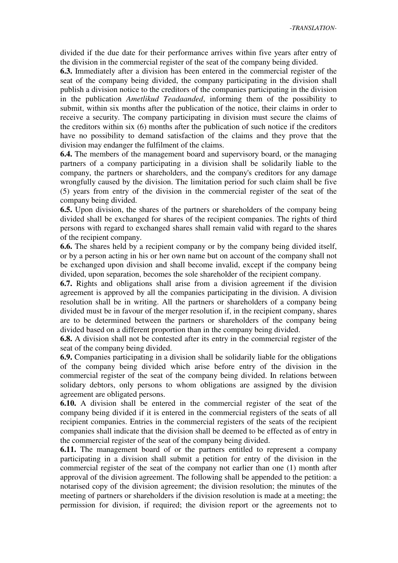divided if the due date for their performance arrives within five years after entry of the division in the commercial register of the seat of the company being divided.

**6.3.** Immediately after a division has been entered in the commercial register of the seat of the company being divided, the company participating in the division shall publish a division notice to the creditors of the companies participating in the division in the publication *Ametlikud Teadaanded*, informing them of the possibility to submit, within six months after the publication of the notice, their claims in order to receive a security. The company participating in division must secure the claims of the creditors within six (6) months after the publication of such notice if the creditors have no possibility to demand satisfaction of the claims and they prove that the division may endanger the fulfilment of the claims.

**6.4.** The members of the management board and supervisory board, or the managing partners of a company participating in a division shall be solidarily liable to the company, the partners or shareholders, and the company's creditors for any damage wrongfully caused by the division. The limitation period for such claim shall be five (5) years from entry of the division in the commercial register of the seat of the company being divided.

**6.5.** Upon division, the shares of the partners or shareholders of the company being divided shall be exchanged for shares of the recipient companies. The rights of third persons with regard to exchanged shares shall remain valid with regard to the shares of the recipient company.

**6.6.** The shares held by a recipient company or by the company being divided itself, or by a person acting in his or her own name but on account of the company shall not be exchanged upon division and shall become invalid, except if the company being divided, upon separation, becomes the sole shareholder of the recipient company.

**6.7.** Rights and obligations shall arise from a division agreement if the division agreement is approved by all the companies participating in the division. A division resolution shall be in writing. All the partners or shareholders of a company being divided must be in favour of the merger resolution if, in the recipient company, shares are to be determined between the partners or shareholders of the company being divided based on a different proportion than in the company being divided.

**6.8.** A division shall not be contested after its entry in the commercial register of the seat of the company being divided.

**6.9.** Companies participating in a division shall be solidarily liable for the obligations of the company being divided which arise before entry of the division in the commercial register of the seat of the company being divided. In relations between solidary debtors, only persons to whom obligations are assigned by the division agreement are obligated persons.

**6.10.** A division shall be entered in the commercial register of the seat of the company being divided if it is entered in the commercial registers of the seats of all recipient companies. Entries in the commercial registers of the seats of the recipient companies shall indicate that the division shall be deemed to be effected as of entry in the commercial register of the seat of the company being divided.

**6.11.** The management board of or the partners entitled to represent a company participating in a division shall submit a petition for entry of the division in the commercial register of the seat of the company not earlier than one (1) month after approval of the division agreement. The following shall be appended to the petition: a notarised copy of the division agreement; the division resolution; the minutes of the meeting of partners or shareholders if the division resolution is made at a meeting; the permission for division, if required; the division report or the agreements not to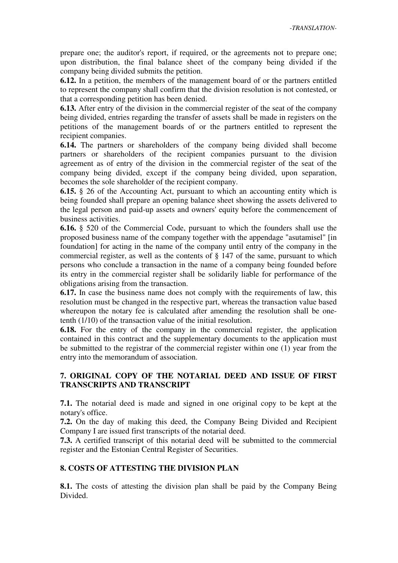prepare one; the auditor's report, if required, or the agreements not to prepare one; upon distribution, the final balance sheet of the company being divided if the company being divided submits the petition.

**6.12.** In a petition, the members of the management board of or the partners entitled to represent the company shall confirm that the division resolution is not contested, or that a corresponding petition has been denied.

**6.13.** After entry of the division in the commercial register of the seat of the company being divided, entries regarding the transfer of assets shall be made in registers on the petitions of the management boards of or the partners entitled to represent the recipient companies.

**6.14.** The partners or shareholders of the company being divided shall become partners or shareholders of the recipient companies pursuant to the division agreement as of entry of the division in the commercial register of the seat of the company being divided, except if the company being divided, upon separation, becomes the sole shareholder of the recipient company.

**6.15.** § 26 of the Accounting Act, pursuant to which an accounting entity which is being founded shall prepare an opening balance sheet showing the assets delivered to the legal person and paid-up assets and owners' equity before the commencement of business activities.

**6.16.** § 520 of the Commercial Code, pursuant to which the founders shall use the proposed business name of the company together with the appendage "asutamisel" [in foundation] for acting in the name of the company until entry of the company in the commercial register, as well as the contents of § 147 of the same, pursuant to which persons who conclude a transaction in the name of a company being founded before its entry in the commercial register shall be solidarily liable for performance of the obligations arising from the transaction.

**6.17.** In case the business name does not comply with the requirements of law, this resolution must be changed in the respective part, whereas the transaction value based whereupon the notary fee is calculated after amending the resolution shall be onetenth (1/10) of the transaction value of the initial resolution.

**6.18.** For the entry of the company in the commercial register, the application contained in this contract and the supplementary documents to the application must be submitted to the registrar of the commercial register within one (1) year from the entry into the memorandum of association.

# **7. ORIGINAL COPY OF THE NOTARIAL DEED AND ISSUE OF FIRST TRANSCRIPTS AND TRANSCRIPT**

**7.1.** The notarial deed is made and signed in one original copy to be kept at the notary's office.

**7.2.** On the day of making this deed, the Company Being Divided and Recipient Company I are issued first transcripts of the notarial deed.

**7.3.** A certified transcript of this notarial deed will be submitted to the commercial register and the Estonian Central Register of Securities.

### **8. COSTS OF ATTESTING THE DIVISION PLAN**

**8.1.** The costs of attesting the division plan shall be paid by the Company Being Divided.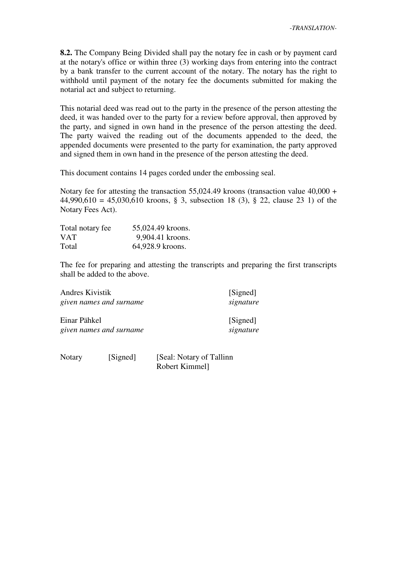**8.2.** The Company Being Divided shall pay the notary fee in cash or by payment card at the notary's office or within three (3) working days from entering into the contract by a bank transfer to the current account of the notary. The notary has the right to withhold until payment of the notary fee the documents submitted for making the notarial act and subject to returning.

This notarial deed was read out to the party in the presence of the person attesting the deed, it was handed over to the party for a review before approval, then approved by the party, and signed in own hand in the presence of the person attesting the deed. The party waived the reading out of the documents appended to the deed, the appended documents were presented to the party for examination, the party approved and signed them in own hand in the presence of the person attesting the deed.

This document contains 14 pages corded under the embossing seal.

Notary fee for attesting the transaction 55,024.49 kroons (transaction value 40,000 + 44,990,610 = 45,030,610 kroons, § 3, subsection 18 (3), § 22, clause 23 1) of the Notary Fees Act).

| Total notary fee | 55,024.49 kroons. |
|------------------|-------------------|
| <b>VAT</b>       | 9,904.41 kroons.  |
| Total            | 64,928.9 kroons.  |

The fee for preparing and attesting the transcripts and preparing the first transcripts shall be added to the above.

| Andres Kivistik                         | given names and surname | [Signed]<br>signature     |
|-----------------------------------------|-------------------------|---------------------------|
| Einar Pähkel<br>given names and surname |                         | [Signed]<br>signature     |
| Notary                                  | [Signed]                | [Seal: Notary of Tallinn] |

Robert Kimmel]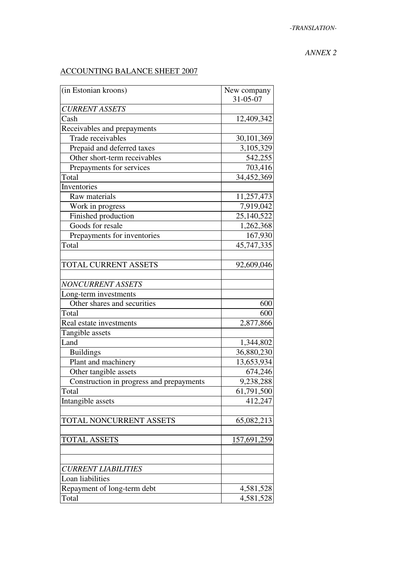## *ANNEX 2*

# ACCOUNTING BALANCE SHEET 2007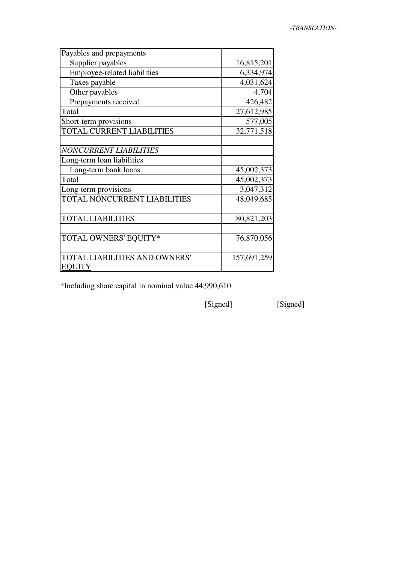| Payables and prepayments         |             |
|----------------------------------|-------------|
| Supplier payables                | 16,815,201  |
| Employee-related liabilities     | 6,334,974   |
| Taxes payable                    | 4,031,624   |
| Other payables                   | 4,704       |
| Prepayments received             | 426,482     |
| Total                            | 27,612,985  |
| Short-term provisions            | 577,005     |
| <b>TOTAL CURRENT LIABILITIES</b> | 32,771,518  |
|                                  |             |
| <b>NONCURRENT LIABILITIES</b>    |             |
| Long-term loan liabilities       |             |
| Long-term bank loans             | 45,002,373  |
| Total                            | 45,002,373  |
| Long-term provisions             | 3,047,312   |
| TOTAL NONCURRENT LIABILITIES     | 48,049,685  |
|                                  |             |
| <b>TOTAL LIABILITIES</b>         | 80,821,203  |
|                                  |             |
| TOTAL OWNERS' EQUITY*            | 76,870,056  |
|                                  |             |
| TOTAL LIABILITIES AND OWNERS'    | 157,691,259 |
| <b>EQUITY</b>                    |             |

\*Including share capital in nominal value 44,990,610

[Signed] [Signed]